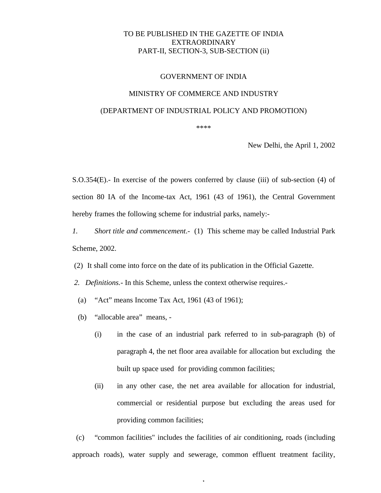## TO BE PUBLISHED IN THE GAZETTE OF INDIA EXTRAORDINARY PART-II, SECTION-3, SUB-SECTION (ii)

#### GOVERNMENT OF INDIA

#### MINISTRY OF COMMERCE AND INDUSTRY

#### (DEPARTMENT OF INDUSTRIAL POLICY AND PROMOTION)

\*\*\*\*

New Delhi, the April 1, 2002

S.O.354(E).- In exercise of the powers conferred by clause (iii) of sub-section (4) of section 80 IA of the Income-tax Act, 1961 (43 of 1961), the Central Government hereby frames the following scheme for industrial parks, namely:-

- *1. Short title and commencement*.- (1) This scheme may be called Industrial Park Scheme, 2002.
- (2) It shall come into force on the date of its publication in the Official Gazette.
- *2. Definitions.-* In this Scheme, unless the context otherwise requires.-
- (a) "Act" means Income Tax Act, 1961 (43 of 1961);
- (b) "allocable area" means,
	- (i) in the case of an industrial park referred to in sub-paragraph (b) of paragraph 4, the net floor area available for allocation but excluding the built up space used for providing common facilities;
	- (ii) in any other case, the net area available for allocation for industrial, commercial or residential purpose but excluding the areas used for providing common facilities;

 (c) "common facilities" includes the facilities of air conditioning, roads (including approach roads), water supply and sewerage, common effluent treatment facility,

1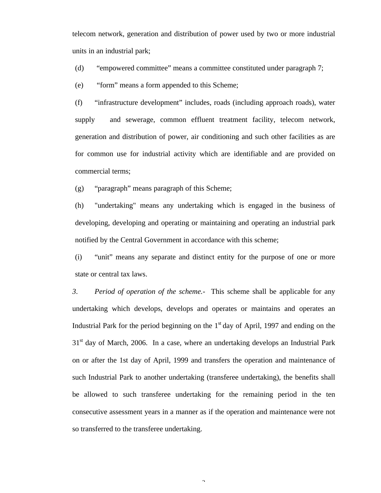telecom network, generation and distribution of power used by two or more industrial units in an industrial park;

(d) "empowered committee" means a committee constituted under paragraph 7;

(e) "form" means a form appended to this Scheme;

(f) "infrastructure development" includes, roads (including approach roads), water supply and sewerage, common effluent treatment facility, telecom network, generation and distribution of power, air conditioning and such other facilities as are for common use for industrial activity which are identifiable and are provided on commercial terms;

(g) "paragraph" means paragraph of this Scheme;

(h) "undertaking" means any undertaking which is engaged in the business of developing, developing and operating or maintaining and operating an industrial park notified by the Central Government in accordance with this scheme;

(i) "unit" means any separate and distinct entity for the purpose of one or more state or central tax laws.

*3*. *Period of operation of the scheme.-* This scheme shall be applicable for any undertaking which develops, develops and operates or maintains and operates an Industrial Park for the period beginning on the  $1<sup>st</sup>$  day of April, 1997 and ending on the  $31<sup>st</sup>$  day of March, 2006. In a case, where an undertaking develops an Industrial Park on or after the 1st day of April, 1999 and transfers the operation and maintenance of such Industrial Park to another undertaking (transferee undertaking), the benefits shall be allowed to such transferee undertaking for the remaining period in the ten consecutive assessment years in a manner as if the operation and maintenance were not so transferred to the transferee undertaking.

 $\hat{ }$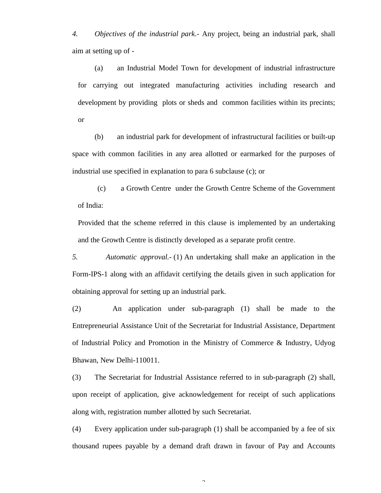*4. Objectives of the industrial park*.- Any project, being an industrial park, shall aim at setting up of -

(a) an Industrial Model Town for development of industrial infrastructure for carrying out integrated manufacturing activities including research and development by providing plots or sheds and common facilities within its precints; or

(b) an industrial park for development of infrastructural facilities or built-up space with common facilities in any area allotted or earmarked for the purposes of industrial use specified in explanation to para 6 subclause (c); or

 (c) a Growth Centre under the Growth Centre Scheme of the Government of India:

Provided that the scheme referred in this clause is implemented by an undertaking and the Growth Centre is distinctly developed as a separate profit centre.

*5. Automatic approval.-* (1) An undertaking shall make an application in the Form-IPS-1 along with an affidavit certifying the details given in such application for obtaining approval for setting up an industrial park.

(2) An application under sub-paragraph (1) shall be made to the Entrepreneurial Assistance Unit of the Secretariat for Industrial Assistance, Department of Industrial Policy and Promotion in the Ministry of Commerce & Industry, Udyog Bhawan, New Delhi-110011.

(3) The Secretariat for Industrial Assistance referred to in sub-paragraph (2) shall, upon receipt of application, give acknowledgement for receipt of such applications along with, registration number allotted by such Secretariat.

(4) Every application under sub-paragraph (1) shall be accompanied by a fee of six thousand rupees payable by a demand draft drawn in favour of Pay and Accounts

 $\overline{\phantom{a}}$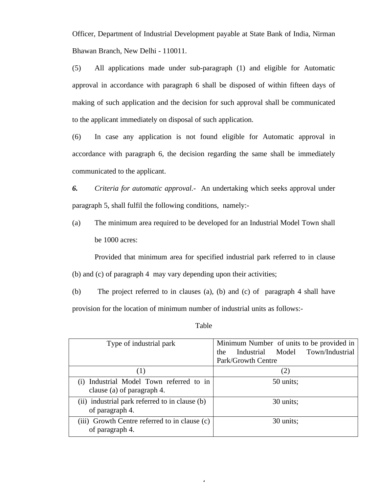Officer, Department of Industrial Development payable at State Bank of India, Nirman Bhawan Branch, New Delhi - 110011.

(5) All applications made under sub-paragraph (1) and eligible for Automatic approval in accordance with paragraph 6 shall be disposed of within fifteen days of making of such application and the decision for such approval shall be communicated to the applicant immediately on disposal of such application.

(6) In case any application is not found eligible for Automatic approval in accordance with paragraph 6, the decision regarding the same shall be immediately communicated to the applicant.

*6. Criteria for automatic approval.-* An undertaking which seeks approval under paragraph 5, shall fulfil the following conditions, namely:-

(a) The minimum area required to be developed for an Industrial Model Town shall be 1000 acres:

Provided that minimum area for specified industrial park referred to in clause (b) and (c) of paragraph 4 may vary depending upon their activities;

(b) The project referred to in clauses (a), (b) and (c) of paragraph 4 shall have provision for the location of minimum number of industrial units as follows:-

| Type of industrial park                                                | Minimum Number of units to be provided in |  |  |  |  |  |
|------------------------------------------------------------------------|-------------------------------------------|--|--|--|--|--|
|                                                                        | Industrial Model Town/Industrial<br>the   |  |  |  |  |  |
|                                                                        | Park/Growth Centre                        |  |  |  |  |  |
| (1)                                                                    | (2)                                       |  |  |  |  |  |
| (i) Industrial Model Town referred to in<br>clause (a) of paragraph 4. | 50 units;                                 |  |  |  |  |  |
| (ii) industrial park referred to in clause (b)<br>of paragraph 4.      | 30 units;                                 |  |  |  |  |  |
| (iii) Growth Centre referred to in clause (c)<br>of paragraph 4.       | 30 units;                                 |  |  |  |  |  |

 $\overline{a}$ 

#### Table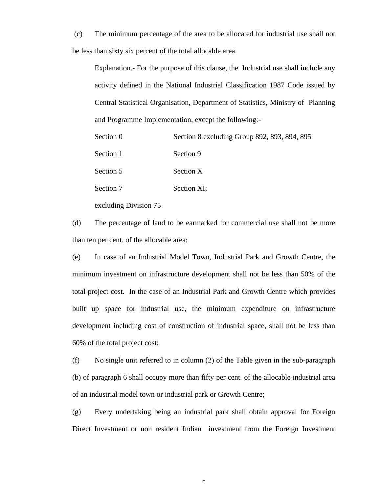(c) The minimum percentage of the area to be allocated for industrial use shall not be less than sixty six percent of the total allocable area.

Explanation.- For the purpose of this clause, the Industrial use shall include any activity defined in the National Industrial Classification 1987 Code issued by Central Statistical Organisation, Department of Statistics, Ministry of Planning and Programme Implementation, except the following:-

| Section 0 | Section 8 excluding Group 892, 893, 894, 895 |
|-----------|----------------------------------------------|
| Section 1 | Section 9                                    |
| Section 5 | Section X                                    |
| Section 7 | Section XI;                                  |
|           |                                              |

excluding Division 75

(d) The percentage of land to be earmarked for commercial use shall not be more than ten per cent. of the allocable area;

(e) In case of an Industrial Model Town, Industrial Park and Growth Centre, the minimum investment on infrastructure development shall not be less than 50% of the total project cost. In the case of an Industrial Park and Growth Centre which provides built up space for industrial use, the minimum expenditure on infrastructure development including cost of construction of industrial space, shall not be less than 60% of the total project cost;

(f) No single unit referred to in column (2) of the Table given in the sub-paragraph (b) of paragraph 6 shall occupy more than fifty per cent. of the allocable industrial area of an industrial model town or industrial park or Growth Centre;

(g) Every undertaking being an industrial park shall obtain approval for Foreign Direct Investment or non resident Indian investment from the Foreign Investment

 $\epsilon$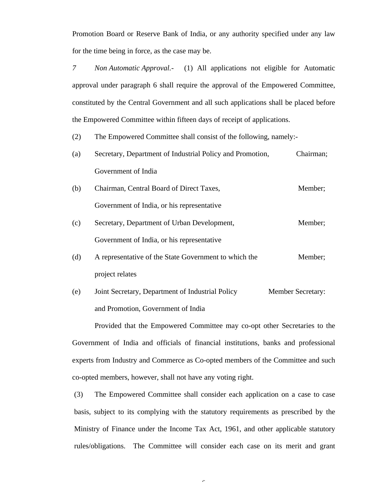Promotion Board or Reserve Bank of India, or any authority specified under any law for the time being in force, as the case may be.

*7 Non Automatic Approval.-* (1) All applications not eligible for Automatic approval under paragraph 6 shall require the approval of the Empowered Committee, constituted by the Central Government and all such applications shall be placed before the Empowered Committee within fifteen days of receipt of applications.

(2) The Empowered Committee shall consist of the following, namely:-

- (a) Secretary, Department of Industrial Policy and Promotion, Chairman; Government of India
- (b) Chairman, Central Board of Direct Taxes, Member; Government of India, or his representative
- (c) Secretary, Department of Urban Development, Member; Government of India, or his representative
- (d) A representative of the State Government to which the Member; project relates
- (e) Joint Secretary, Department of Industrial Policy Member Secretary: and Promotion, Government of India

Provided that the Empowered Committee may co-opt other Secretaries to the Government of India and officials of financial institutions, banks and professional experts from Industry and Commerce as Co-opted members of the Committee and such co-opted members, however, shall not have any voting right.

(3) The Empowered Committee shall consider each application on a case to case basis, subject to its complying with the statutory requirements as prescribed by the Ministry of Finance under the Income Tax Act, 1961, and other applicable statutory rules/obligations. The Committee will consider each case on its merit and grant

 $\overline{\phantom{0}}$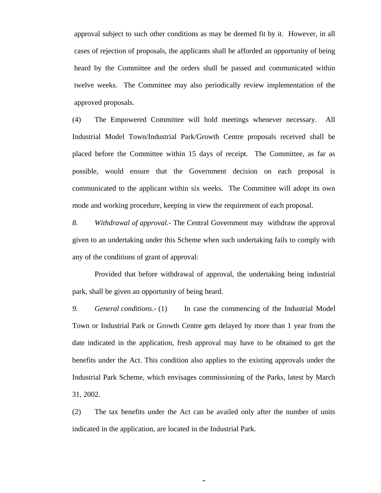approval subject to such other conditions as may be deemed fit by it. However, in all cases of rejection of proposals, the applicants shall be afforded an opportunity of being heard by the Committee and the orders shall be passed and communicated within twelve weeks. The Committee may also periodically review implementation of the approved proposals.

(4) The Empowered Committee will hold meetings whenever necessary. All Industrial Model Town/Industrial Park/Growth Centre proposals received shall be placed before the Committee within 15 days of receipt. The Committee, as far as possible, would ensure that the Government decision on each proposal is communicated to the applicant within six weeks. The Committee will adopt its own mode and working procedure, keeping in view the requirement of each proposal.

*8. Withdrawal of approval.-* The Central Government may withdraw the approval given to an undertaking under this Scheme when such undertaking fails to comply with any of the conditions of grant of approval:

Provided that before withdrawal of approval, the undertaking being industrial park, shall be given an opportunity of being heard.

*9. General conditions*.- (1) In case the commencing of the Industrial Model Town or Industrial Park or Growth Centre gets delayed by more than 1 year from the date indicated in the application, fresh approval may have to be obtained to get the benefits under the Act. This condition also applies to the existing approvals under the Industrial Park Scheme, which envisages commissioning of the Parks, latest by March 31, 2002.

(2) The tax benefits under the Act can be availed only after the number of units indicated in the application, are located in the Industrial Park.

 $\overline{a}$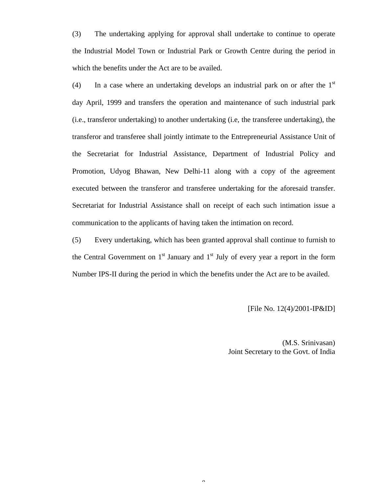(3) The undertaking applying for approval shall undertake to continue to operate the Industrial Model Town or Industrial Park or Growth Centre during the period in which the benefits under the Act are to be availed.

(4) In a case where an undertaking develops an industrial park on or after the  $1<sup>st</sup>$ day April, 1999 and transfers the operation and maintenance of such industrial park (i.e., transferor undertaking) to another undertaking (i.e, the transferee undertaking), the transferor and transferee shall jointly intimate to the Entrepreneurial Assistance Unit of the Secretariat for Industrial Assistance, Department of Industrial Policy and Promotion, Udyog Bhawan, New Delhi-11 along with a copy of the agreement executed between the transferor and transferee undertaking for the aforesaid transfer. Secretariat for Industrial Assistance shall on receipt of each such intimation issue a communication to the applicants of having taken the intimation on record.

(5) Every undertaking, which has been granted approval shall continue to furnish to the Central Government on  $1<sup>st</sup>$  January and  $1<sup>st</sup>$  July of every year a report in the form Number IPS-II during the period in which the benefits under the Act are to be availed.

 $\Omega$ 

[File No. 12(4)/2001-IP&ID]

(M.S. Srinivasan) Joint Secretary to the Govt. of India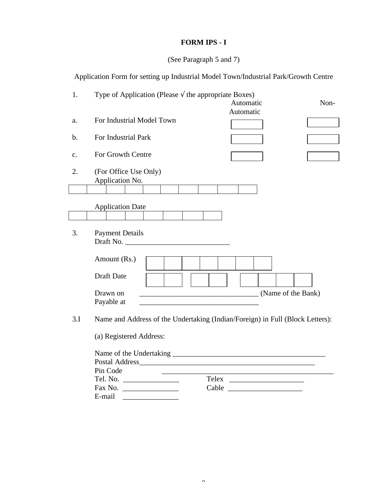# **FORM IPS - I**

# (See Paragraph 5 and 7)

Application Form for setting up Industrial Model Town/Industrial Park/Growth Centre

| 1.             | Type of Application (Please $\sqrt{}$ the appropriate Boxes)                  |
|----------------|-------------------------------------------------------------------------------|
|                | Automatic<br>Non-                                                             |
|                | Automatic                                                                     |
| a.             | For Industrial Model Town                                                     |
| $\mathbf b$ .  | For Industrial Park                                                           |
|                |                                                                               |
| $\mathbf{c}$ . | For Growth Centre                                                             |
| 2.             | (For Office Use Only)<br>Application No.                                      |
|                |                                                                               |
|                | <b>Application Date</b>                                                       |
|                |                                                                               |
| 3.             | <b>Payment Details</b><br>Draft No.                                           |
|                | Amount (Rs.)                                                                  |
|                | Draft Date                                                                    |
|                | (Name of the Bank)<br>Drawn on                                                |
|                | Payable at                                                                    |
| 3.I            | Name and Address of the Undertaking (Indian/Foreign) in Full (Block Letters): |
|                | (a) Registered Address:                                                       |
|                |                                                                               |
|                |                                                                               |
|                | Pin Code                                                                      |
|                |                                                                               |
|                | Cable                                                                         |
|                | E-mail                                                                        |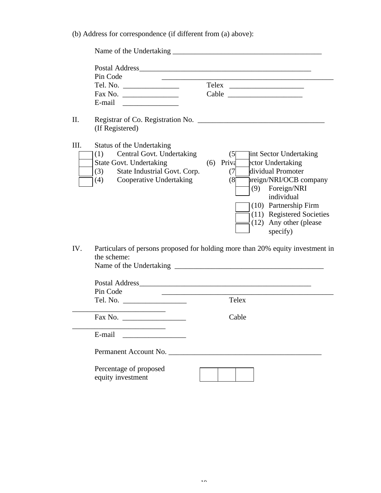(b) Address for correspondence (if different from (a) above):

|      | Pin Code                                                                                                                                                           |  |                                                                                                                                                                                                                                                             |  |  |  |  |
|------|--------------------------------------------------------------------------------------------------------------------------------------------------------------------|--|-------------------------------------------------------------------------------------------------------------------------------------------------------------------------------------------------------------------------------------------------------------|--|--|--|--|
| II.  | Registrar of Co. Registration No.<br>(If Registered)                                                                                                               |  |                                                                                                                                                                                                                                                             |  |  |  |  |
| III. | Status of the Undertaking<br>(1) Central Govt. Undertaking<br><b>State Govt. Undertaking</b><br>(3) State Industrial Govt. Corp.<br>Cooperative Undertaking<br>(4) |  | (5)<br>int Sector Undertaking<br>$(6)$ Priva<br>ector Undertaking<br>dividual Promoter<br>(7)<br>preign/NRI/OCB company<br>(8)<br>(9) Foreign/NRI<br>individual<br>(10) Partnership Firm<br>(11) Registered Societies<br>(12) Any other (please<br>specify) |  |  |  |  |
| IV.  | the scheme:                                                                                                                                                        |  | Particulars of persons proposed for holding more than 20% equity investment in                                                                                                                                                                              |  |  |  |  |
|      | Pin Code                                                                                                                                                           |  |                                                                                                                                                                                                                                                             |  |  |  |  |
|      |                                                                                                                                                                    |  | Telex                                                                                                                                                                                                                                                       |  |  |  |  |
|      |                                                                                                                                                                    |  | Cable                                                                                                                                                                                                                                                       |  |  |  |  |
|      | E-mail                                                                                                                                                             |  |                                                                                                                                                                                                                                                             |  |  |  |  |
|      | Permanent Account No.                                                                                                                                              |  | <u> 1980 - Jan Stein Stein Stein Stein Stein Stein Stein Stein Stein Stein Stein Stein Stein Stein Stein Stein S</u>                                                                                                                                        |  |  |  |  |
|      | Percentage of proposed<br>equity investment                                                                                                                        |  |                                                                                                                                                                                                                                                             |  |  |  |  |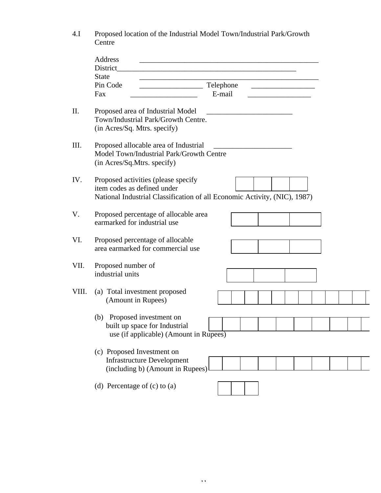| 4.I   | Proposed location of the Industrial Model Town/Industrial Park/Growth<br>Centre                                                                 |
|-------|-------------------------------------------------------------------------------------------------------------------------------------------------|
|       | Address<br>District                                                                                                                             |
|       | <b>State</b>                                                                                                                                    |
|       | Telephone<br>Pin Code<br>E-mail<br>Fax                                                                                                          |
|       |                                                                                                                                                 |
| II.   | Proposed area of Industrial Model<br>Town/Industrial Park/Growth Centre.<br>(in Acres/Sq. Mtrs. specify)                                        |
| III.  | Proposed allocable area of Industrial<br>Model Town/Industrial Park/Growth Centre<br>(in Acres/Sq.Mtrs. specify)                                |
| IV.   | Proposed activities (please specify<br>item codes as defined under<br>National Industrial Classification of all Economic Activity, (NIC), 1987) |
| V.    | Proposed percentage of allocable area<br>earmarked for industrial use                                                                           |
| VI.   | Proposed percentage of allocable<br>area earmarked for commercial use                                                                           |
| VII.  | Proposed number of<br>industrial units                                                                                                          |
| VIII. | (a) Total investment proposed<br>(Amount in Rupees)                                                                                             |
|       | (b) Proposed investment on<br>built up space for Industrial<br>use (if applicable) (Amount in Rupees)                                           |
|       | (c) Proposed Investment on<br><b>Infrastructure Development</b><br>(including b) (Amount in Rupees)                                             |
|       | (d) Percentage of $(c)$ to $(a)$                                                                                                                |

11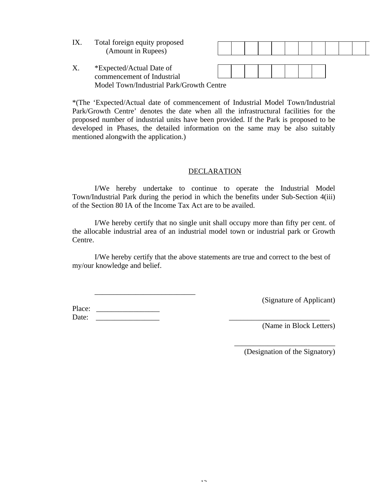| IX | Total foreign equity proposed<br>(Amount in Rupees)                                                |  |  |  |  |  |  |
|----|----------------------------------------------------------------------------------------------------|--|--|--|--|--|--|
|    | *Expected/Actual Date of<br>commencement of Industrial<br>Model Town/Industrial Park/Growth Centre |  |  |  |  |  |  |

\*(The 'Expected/Actual date of commencement of Industrial Model Town/Industrial Park/Growth Centre' denotes the date when all the infrastructural facilities for the proposed number of industrial units have been provided. If the Park is proposed to be developed in Phases, the detailed information on the same may be also suitably mentioned alongwith the application.)

### **DECLARATION**

I/We hereby undertake to continue to operate the Industrial Model Town/Industrial Park during the period in which the benefits under Sub-Section 4(iii) of the Section 80 IA of the Income Tax Act are to be availed.

I/We hereby certify that no single unit shall occupy more than fifty per cent. of the allocable industrial area of an industrial model town or industrial park or Growth Centre.

I/We hereby certify that the above statements are true and correct to the best of my/our knowledge and belief.

Place: Date: \_\_\_\_\_\_\_\_\_\_\_\_\_\_\_\_\_ \_\_\_\_\_\_\_\_\_\_\_\_\_\_\_\_\_\_\_\_\_\_\_\_\_\_\_

\_\_\_\_\_\_\_\_\_\_\_\_\_\_\_\_\_\_\_\_\_\_\_\_\_\_\_

(Signature of Applicant)

(Name in Block Letters)

(Designation of the Signatory)

\_\_\_\_\_\_\_\_\_\_\_\_\_\_\_\_\_\_\_\_\_\_\_\_\_\_\_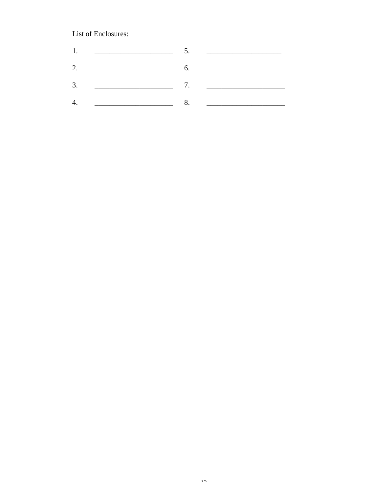## List of Enclosures:

| 1. | <u> 1989 - Andrea Station, amerikansk politiker (</u>                                                                                                                                                                                |                  |
|----|--------------------------------------------------------------------------------------------------------------------------------------------------------------------------------------------------------------------------------------|------------------|
| 2. | <u> 1989 - Johann Harry Harry Harry Harry Harry Harry Harry Harry Harry Harry Harry Harry Harry Harry Harry Harry Harry Harry Harry Harry Harry Harry Harry Harry Harry Harry Harry Harry Harry Harry Harry Harry Harry Harry Ha</u> | $\overline{6}$ . |
| 3. |                                                                                                                                                                                                                                      |                  |
| 4. |                                                                                                                                                                                                                                      |                  |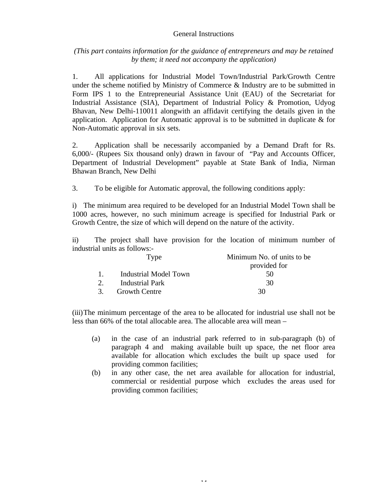### General Instructions

*(This part contains information for the guidance of entrepreneurs and may be retained by them; it need not accompany the application)*

1. All applications for Industrial Model Town/Industrial Park/Growth Centre under the scheme notified by Ministry of Commerce & Industry are to be submitted in Form IPS 1 to the Entrepreneurial Assistance Unit (EAU) of the Secretariat for Industrial Assistance (SIA), Department of Industrial Policy & Promotion, Udyog Bhavan, New Delhi-110011 alongwith an affidavit certifying the details given in the application. Application for Automatic approval is to be submitted in duplicate  $\&$  for Non-Automatic approval in six sets.

2. Application shall be necessarily accompanied by a Demand Draft for Rs. 6,000/- (Rupees Six thousand only) drawn in favour of "Pay and Accounts Officer, Department of Industrial Development" payable at State Bank of India, Nirman Bhawan Branch, New Delhi

3. To be eligible for Automatic approval, the following conditions apply:

i) The minimum area required to be developed for an Industrial Model Town shall be 1000 acres, however, no such minimum acreage is specified for Industrial Park or Growth Centre, the size of which will depend on the nature of the activity.

ii) The project shall have provision for the location of minimum number of industrial units as follows:-

| Type |                       | Minimum No. of units to be. |  |  |  |
|------|-----------------------|-----------------------------|--|--|--|
|      |                       | provided for                |  |  |  |
|      | Industrial Model Town | 50                          |  |  |  |
|      | Industrial Park       | 30                          |  |  |  |
| 3.   | <b>Growth Centre</b>  | 30                          |  |  |  |

(iii)The minimum percentage of the area to be allocated for industrial use shall not be less than 66% of the total allocable area. The allocable area will mean –

- (a) in the case of an industrial park referred to in sub-paragraph (b) of paragraph 4 and making available built up space, the net floor area available for allocation which excludes the built up space used for providing common facilities;
- (b) in any other case, the net area available for allocation for industrial, commercial or residential purpose which excludes the areas used for providing common facilities;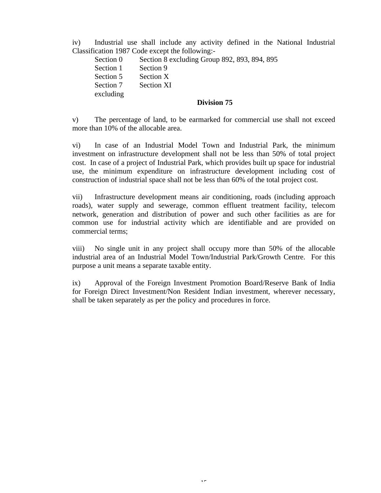iv) Industrial use shall include any activity defined in the National Industrial Classification 1987 Code except the following:-

Section 0 Section 8 excluding Group 892, 893, 894, 895 Section 1 Section 9 Section 5 Section X Section 7 Section XI excluding

## **Division 75**

v) The percentage of land, to be earmarked for commercial use shall not exceed more than 10% of the allocable area.

vi) In case of an Industrial Model Town and Industrial Park, the minimum investment on infrastructure development shall not be less than 50% of total project cost. In case of a project of Industrial Park, which provides built up space for industrial use, the minimum expenditure on infrastructure development including cost of construction of industrial space shall not be less than 60% of the total project cost.

vii) Infrastructure development means air conditioning, roads (including approach roads), water supply and sewerage, common effluent treatment facility, telecom network, generation and distribution of power and such other facilities as are for common use for industrial activity which are identifiable and are provided on commercial terms;

viii) No single unit in any project shall occupy more than 50% of the allocable industrial area of an Industrial Model Town/Industrial Park/Growth Centre. For this purpose a unit means a separate taxable entity.

ix) Approval of the Foreign Investment Promotion Board/Reserve Bank of India for Foreign Direct Investment/Non Resident Indian investment, wherever necessary, shall be taken separately as per the policy and procedures in force.